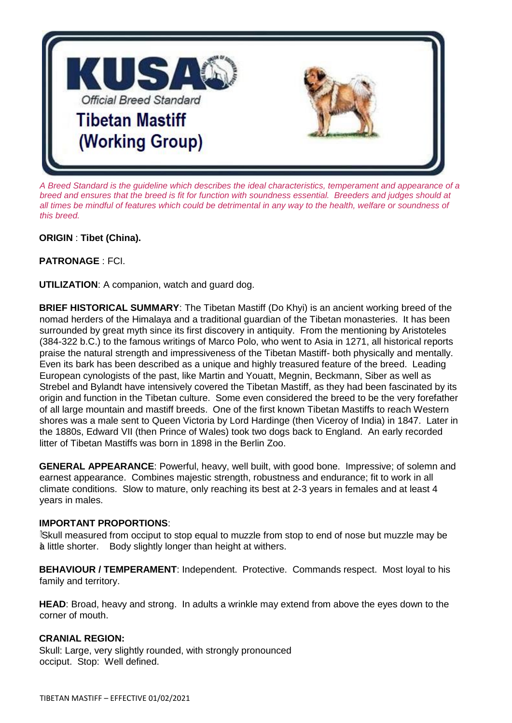

*A Breed Standard is the guideline which describes the ideal characteristics, temperament and appearance of a breed and ensures that the breed is fit for function with soundness essential. Breeders and judges should at all times be mindful of features which could be detrimental in any way to the health, welfare or soundness of this breed.* 

**ORIGIN** : **Tibet (China).**

**PATRONAGE** : FCI.

**UTILIZATION**: A companion, watch and guard dog.

**BRIEF HISTORICAL SUMMARY**: The Tibetan Mastiff (Do Khyi) is an ancient working breed of the nomad herders of the Himalaya and a traditional guardian of the Tibetan monasteries. It has been surrounded by great myth since its first discovery in antiquity. From the mentioning by Aristoteles (384-322 b.C.) to the famous writings of Marco Polo, who went to Asia in 1271, all historical reports praise the natural strength and impressiveness of the Tibetan Mastiff- both physically and mentally. Even its bark has been described as a unique and highly treasured feature of the breed. Leading European cynologists of the past, like Martin and Youatt, Megnin, Beckmann, Siber as well as Strebel and Bylandt have intensively covered the Tibetan Mastiff, as they had been fascinated by its origin and function in the Tibetan culture. Some even considered the breed to be the very forefather of all large mountain and mastiff breeds. One of the first known Tibetan Mastiffs to reach Western shores was a male sent to Queen Victoria by Lord Hardinge (then Viceroy of India) in 1847. Later in the 1880s, Edward VII (then Prince of Wales) took two dogs back to England. An early recorded litter of Tibetan Mastiffs was born in 1898 in the Berlin Zoo.

**GENERAL APPEARANCE**: Powerful, heavy, well built, with good bone. Impressive; of solemn and earnest appearance. Combines majestic strength, robustness and endurance; fit to work in all climate conditions. Slow to mature, only reaching its best at 2-3 years in females and at least 4 years in males.

### **IMPORTANT PROPORTIONS**:

Skull measured from occiput to stop equal to muzzle from stop to end of nose but muzzle may be a little shorter. Body slightly longer than height at withers.

**BEHAVIOUR / TEMPERAMENT**: Independent. Protective. Commands respect. Most loyal to his family and territory.

**HEAD**: Broad, heavy and strong. In adults a wrinkle may extend from above the eyes down to the corner of mouth.

### **CRANIAL REGION:**

Skull: Large, very slightly rounded, with strongly pronounced occiput. Stop: Well defined.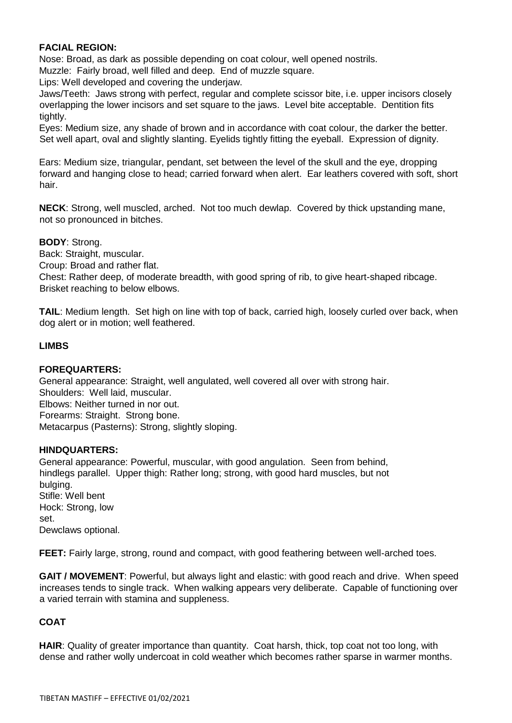# **FACIAL REGION:**

Nose: Broad, as dark as possible depending on coat colour, well opened nostrils.

Muzzle: Fairly broad, well filled and deep. End of muzzle square.

Lips: Well developed and covering the underjaw.

Jaws/Teeth: Jaws strong with perfect, regular and complete scissor bite, i.e. upper incisors closely overlapping the lower incisors and set square to the jaws. Level bite acceptable. Dentition fits tightly.

Eyes: Medium size, any shade of brown and in accordance with coat colour, the darker the better. Set well apart, oval and slightly slanting. Eyelids tightly fitting the eyeball. Expression of dignity.

Ears: Medium size, triangular, pendant, set between the level of the skull and the eye, dropping forward and hanging close to head; carried forward when alert. Ear leathers covered with soft, short hair.

**NECK**: Strong, well muscled, arched. Not too much dewlap. Covered by thick upstanding mane, not so pronounced in bitches.

**BODY**: Strong.

Back: Straight, muscular.

Croup: Broad and rather flat.

Chest: Rather deep, of moderate breadth, with good spring of rib, to give heart-shaped ribcage. Brisket reaching to below elbows.

**TAIL**: Medium length. Set high on line with top of back, carried high, loosely curled over back, when dog alert or in motion; well feathered.

#### **LIMBS**

#### **FOREQUARTERS:**

General appearance: Straight, well angulated, well covered all over with strong hair. Shoulders: Well laid, muscular. Elbows: Neither turned in nor out. Forearms: Straight. Strong bone. Metacarpus (Pasterns): Strong, slightly sloping.

#### **HINDQUARTERS:**

General appearance: Powerful, muscular, with good angulation. Seen from behind, hindlegs parallel. Upper thigh: Rather long; strong, with good hard muscles, but not bulging. Stifle: Well bent Hock: Strong, low set. Dewclaws optional.

**FEET:** Fairly large, strong, round and compact, with good feathering between well-arched toes.

**GAIT / MOVEMENT**: Powerful, but always light and elastic: with good reach and drive. When speed increases tends to single track. When walking appears very deliberate. Capable of functioning over a varied terrain with stamina and suppleness.

### **COAT**

**HAIR**: Quality of greater importance than quantity. Coat harsh, thick, top coat not too long, with dense and rather wolly undercoat in cold weather which becomes rather sparse in warmer months.